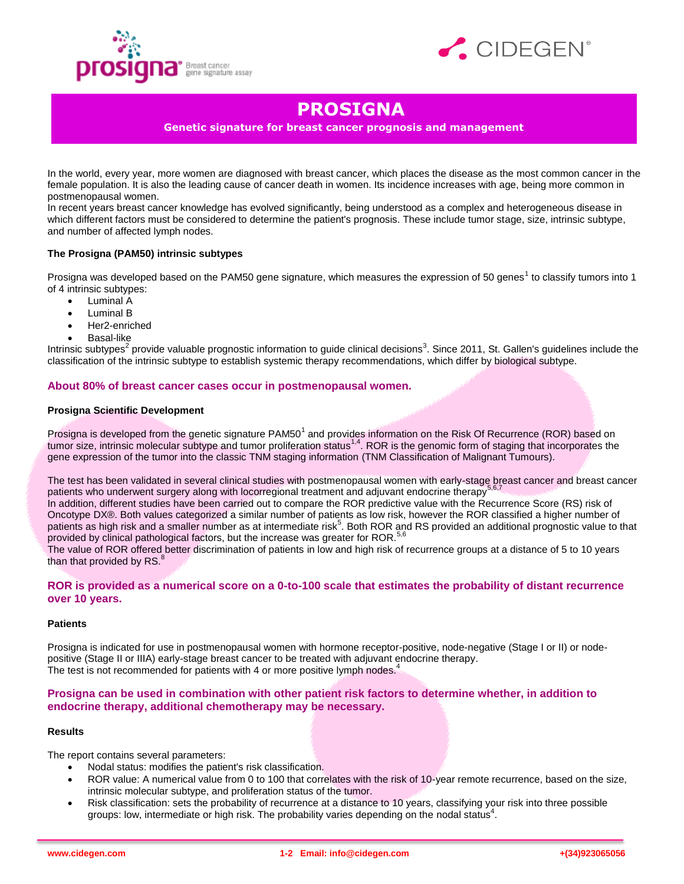



# **PROSIGNA**

**Genetic signature for breast cancer prognosis and management**

In the world, every year, more women are diagnosed with breast cancer, which places the disease as the most common cancer in the female population. It is also the leading cause of cancer death in women. Its incidence increases with age, being more common in postmenopausal women.

In recent years breast cancer knowledge has evolved significantly, being understood as a complex and heterogeneous disease in which different factors must be considered to determine the patient's prognosis. These include tumor stage, size, intrinsic subtype, and number of affected lymph nodes.

# **The Prosigna (PAM50) intrinsic subtypes**

Prosigna was developed based on the PAM50 gene signature, which measures the expression of 50 genes<sup>1</sup> to classify tumors into 1 of 4 intrinsic subtypes:

- Luminal A
- Luminal B
- Her2-enriched
- Basal-like

Intrinsic subtypes<sup>2</sup> provide valuable prognostic information to guide clinical decisions<sup>3</sup>. Since 2011, St. Gallen's guidelines include the classification of the intrinsic subtype to establish systemic therapy recommendations, which differ by biological subtype.

# **About 80% of breast cancer cases occur in postmenopausal women.**

### **Prosigna Scientific Development**

Prosigna is developed from the genetic signature PAM50<sup>1</sup> and provides information on the Risk Of Recurrence (ROR) based on tumor size, intrinsic molecular subtype and tumor proliferation status<sup>1,4</sup>. ROR is the genomic form of staging that incorporates the gene expression of the tumor into the classic TNM staging information (TNM Classification of Malignant Tumours).

The test has been validated in several clinical studies with postmenopausal women with early-stage breast cancer and breast cancer patients who underwent surgery along with locorregional treatment and adjuvant endocrine therapy<sup>5,6,7</sup>

In addition, different studies have been carried out to compare the ROR predictive value with the Recurrence Score (RS) risk of Oncotype DX®. Both values categorized a similar number of patients as low risk, however the ROR classified a higher number of patients as high risk and a smaller number as at intermediate risk<sup>5</sup>. Both ROR and RS provided an additional prognostic value to that provided by clinical pathological factors, but the increase was greater for ROR.<sup>5,6</sup>

The value of ROR offered better discrimination of patients in low and high risk of recurrence groups at a distance of 5 to 10 years than that provided by  $\text{RS}$ .<sup>8</sup>

# **ROR is provided as a numerical score on a 0-to-100 scale that estimates the probability of distant recurrence over 10 years.**

#### **Patients**

Prosigna is indicated for use in postmenopausal women with hormone receptor-positive, node-negative (Stage I or II) or nodepositive (Stage II or IIIA) early-stage breast cancer to be treated with adjuvant endocrine therapy. The test is not recommended for patients with 4 or more positive lymph nodes.<sup>4</sup>

**Prosigna can be used in combination with other patient risk factors to determine whether, in addition to endocrine therapy, additional chemotherapy may be necessary.**

#### **Results**

The report contains several parameters:

- Nodal status: modifies the patient's risk classification.
- ROR value: A numerical value from 0 to 100 that correlates with the risk of 10-year remote recurrence, based on the size, intrinsic molecular subtype, and proliferation status of the tumor.
- Risk classification: sets the probability of recurrence at a distance to 10 years, classifying your risk into three possible groups: low, intermediate or high risk. The probability varies depending on the nodal status<sup>4</sup>.